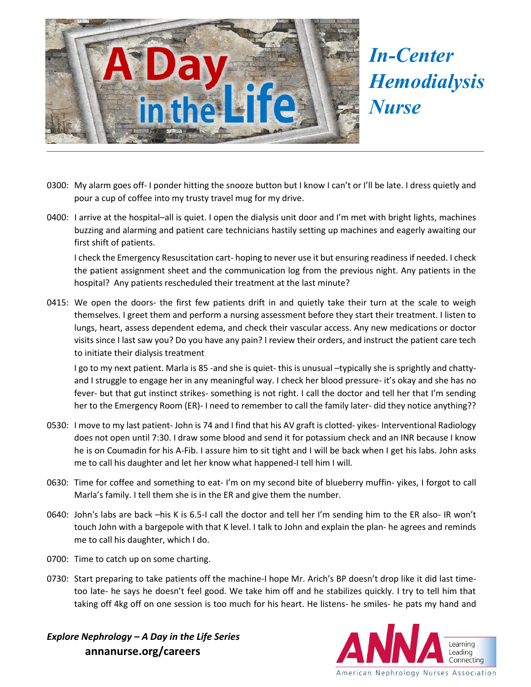

*In-Center Hemodialysis Nurse*

- 0300: My alarm goes off- I ponder hitting the snooze button but I know I can't or I'll be late. I dress quietly and pour a cup of coffee into my trusty travel mug for my drive.
- 0400: I arrive at the hospital–all is quiet. I open the dialysis unit door and I'm met with bright lights, machines buzzing and alarming and patient care technicians hastily setting up machines and eagerly awaiting our first shift of patients.

I check the Emergency Resuscitation cart- hoping to never use it but ensuring readiness if needed. I check the patient assignment sheet and the communication log from the previous night. Any patients in the hospital? Any patients rescheduled their treatment at the last minute?

0415: We open the doors- the first few patients drift in and quietly take their turn at the scale to weigh themselves. I greet them and perform a nursing assessment before they start their treatment. I listen to lungs, heart, assess dependent edema, and check their vascular access. Any new medications or doctor visits since I last saw you? Do you have any pain? I review their orders, and instruct the patient care tech to initiate their dialysis treatment

I go to my next patient. Marla is 85 -and she is quiet- this is unusual –typically she is sprightly and chattyand I struggle to engage her in any meaningful way. I check her blood pressure- it's okay and she has no fever- but that gut instinct strikes- something is not right. I call the doctor and tell her that I'm sending her to the Emergency Room (ER)- I need to remember to call the family later- did they notice anything??

- 0530: I move to my last patient- John is 74 and I find that his AV graft is clotted- yikes- Interventional Radiology does not open until 7:30. I draw some blood and send it for potassium check and an INR because I know he is on Coumadin for his A-Fib. I assure him to sit tight and I will be back when I get his labs. John asks me to call his daughter and let her know what happened-I tell him I will.
- 0630: Time for coffee and something to eat- I'm on my second bite of blueberry muffin- yikes, I forgot to call Marla's family. I tell them she is in the ER and give them the number.
- 0640: John's labs are back –his K is 6.5-I call the doctor and tell her I'm sending him to the ER also- IR won't touch John with a bargepole with that K level. I talk to John and explain the plan- he agrees and reminds me to call his daughter, which I do.
- 0700: Time to catch up on some charting.
- 0730: Start preparing to take patients off the machine-I hope Mr. Arich's BP doesn't drop like it did last timetoo late- he says he doesn't feel good. We take him off and he stabilizes quickly. I try to tell him that taking off 4kg off on one session is too much for his heart. He listens- he smiles- he pats my hand and

*Explore Nephrology – A Day in the Life Series*  **annanurse.org/careers**